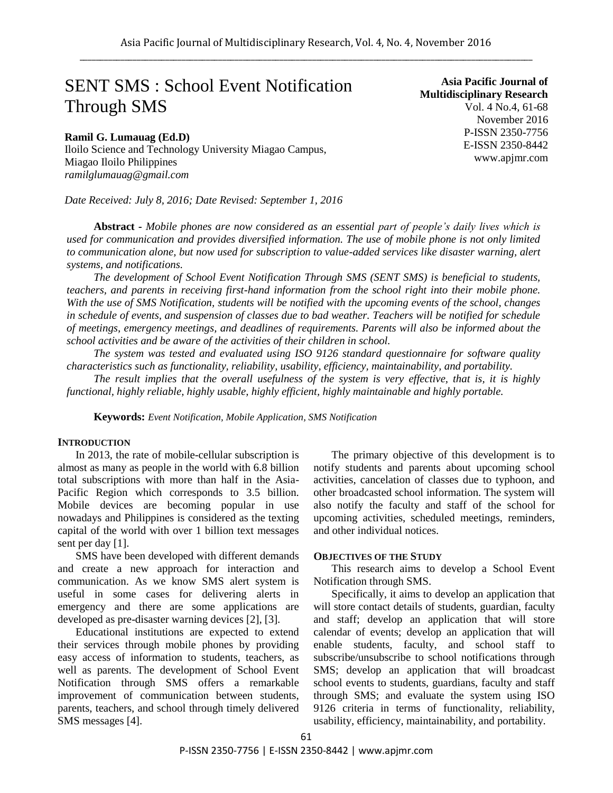# SENT SMS : School Event Notification Through SMS

# **Ramil G. Lumauag (Ed.D)**

Iloilo Science and Technology University Miagao Campus, Miagao Iloilo Philippines *ramilglumauag@gmail.com*

*Date Received: July 8, 2016; Date Revised: September 1, 2016*

**Asia Pacific Journal of Multidisciplinary Research** Vol. 4 No.4, 61-68 November 2016 P-ISSN 2350-7756 E-ISSN 2350-8442 www.apjmr.com

**Abstract -** *Mobile phones are now considered as an essential part of people's daily lives which is used for communication and provides diversified information. The use of mobile phone is not only limited to communication alone, but now used for subscription to value-added services like disaster warning, alert systems, and notifications.*

*The development of School Event Notification Through SMS (SENT SMS) is beneficial to students, teachers, and parents in receiving first-hand information from the school right into their mobile phone. With the use of SMS Notification, students will be notified with the upcoming events of the school, changes in schedule of events, and suspension of classes due to bad weather. Teachers will be notified for schedule of meetings, emergency meetings, and deadlines of requirements. Parents will also be informed about the school activities and be aware of the activities of their children in school.*

*The system was tested and evaluated using ISO 9126 standard questionnaire for software quality characteristics such as functionality, reliability, usability, efficiency, maintainability, and portability.*

*The result implies that the overall usefulness of the system is very effective, that is, it is highly functional, highly reliable, highly usable, highly efficient, highly maintainable and highly portable.*

**Keywords:** *Event Notification, Mobile Application, SMS Notification*

#### **INTRODUCTION**

In 2013, the rate of mobile-cellular subscription is almost as many as people in the world with  $6.8$  billion total subscriptions with more than half in the Asia-Pacific Region which corresponds to 3.5 billion. Mobile devices are becoming popular in use nowadays and Philippines is considered as the texting capital of the world with over 1 billion text messages sent per day [1].

SMS have been developed with different demands and create a new approach for interaction and communication. As we know SMS alert system is useful in some cases for delivering alerts in emergency and there are some applications are developed as pre-disaster warning devices [2], [3].

Educational institutions are expected to extend their services through mobile phones by providing easy access of information to students, teachers, as well as parents. The development of School Event Notification through SMS offers a remarkable improvement of communication between students, parents, teachers, and school through timely delivered SMS messages [4].

The primary objective of this development is to notify students and parents about upcoming school activities, cancelation of classes due to typhoon, and other broadcasted school information. The system will also notify the faculty and staff of the school for upcoming activities, scheduled meetings, reminders, and other individual notices.

### **OBJECTIVES OF THE STUDY**

This research aims to develop a School Event Notification through SMS.

Specifically, it aims to develop an application that will store contact details of students, guardian, faculty and staff; develop an application that will store calendar of events; develop an application that will enable students, faculty, and school staff to subscribe/unsubscribe to school notifications through SMS; develop an application that will broadcast school events to students, guardians, faculty and staff through SMS; and evaluate the system using ISO 9126 criteria in terms of functionality, reliability, usability, efficiency, maintainability, and portability.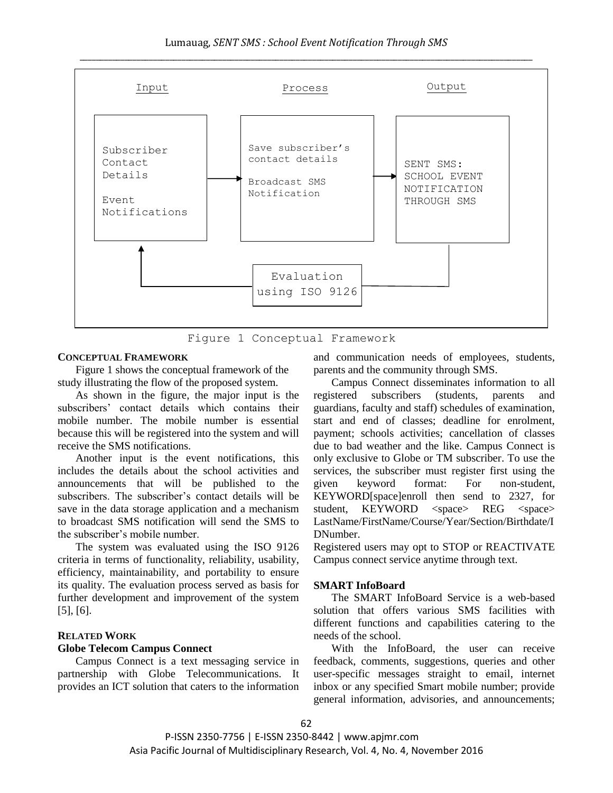

Figure 1 Conceptual Framework

# **CONCEPTUAL FRAMEWORK**

Figure 1 shows the conceptual framework of the study illustrating the flow of the proposed system.

As shown in the figure, the major input is the subscribers' contact details which contains their mobile number. The mobile number is essential because this will be registered into the system and will receive the SMS notifications.

Another input is the event notifications, this includes the details about the school activities and announcements that will be published to the subscribers. The subscriber's contact details will be save in the data storage application and a mechanism to broadcast SMS notification will send the SMS to the subscriber's mobile number.

The system was evaluated using the ISO 9126 criteria in terms of functionality, reliability, usability, efficiency, maintainability, and portability to ensure its quality. The evaluation process served as basis for further development and improvement of the system [5], [6].

## **RELATED WORK**

#### **Globe Telecom Campus Connect**

Campus Connect is a text messaging service in partnership with Globe Telecommunications. It provides an ICT solution that caters to the information and communication needs of employees, students, parents and the community through SMS.

Campus Connect disseminates information to all registered subscribers (students, parents and guardians, faculty and staff) schedules of examination, start and end of classes; deadline for enrolment, payment; schools activities; cancellation of classes due to bad weather and the like. Campus Connect is only exclusive to Globe or TM subscriber. To use the services, the subscriber must register first using the given keyword format: For non-student, KEYWORD[space]enroll then send to 2327, for student, KEYWORD <space> REG <space> LastName/FirstName/Course/Year/Section/Birthdate/I DNumber.

Registered users may opt to STOP or REACTIVATE Campus connect service anytime through text.

#### **SMART InfoBoard**

The SMART InfoBoard Service is a web-based solution that offers various SMS facilities with different functions and capabilities catering to the needs of the school.

With the InfoBoard, the user can receive feedback, comments, suggestions, queries and other user-specific messages straight to email, internet inbox or any specified Smart mobile number; provide general information, advisories, and announcements;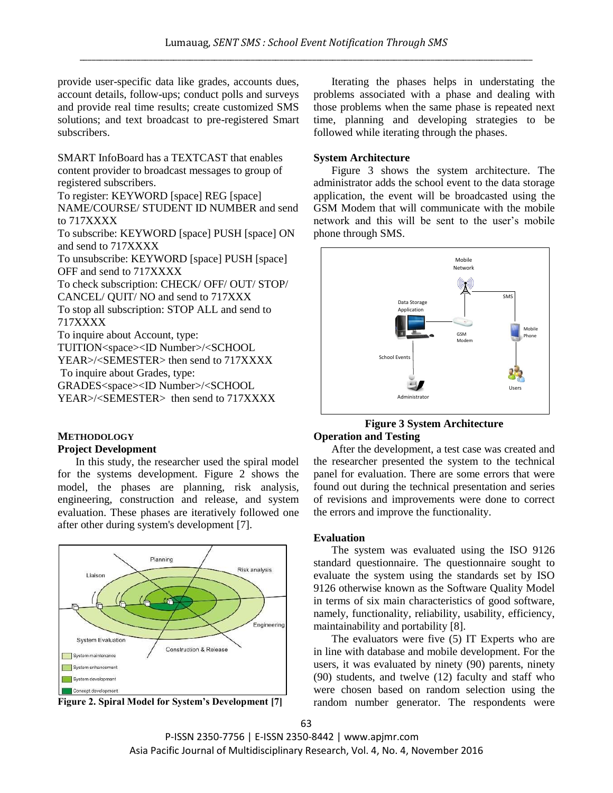provide user-specific data like grades, accounts dues, account details, follow-ups; conduct polls and surveys and provide real time results; create customized SMS solutions; and text broadcast to pre-registered Smart subscribers.

SMART InfoBoard has a TEXTCAST that enables content provider to broadcast messages to group of registered subscribers.

To register: KEYWORD [space] REG [space] NAME/COURSE/ STUDENT ID NUMBER and send to 717XXXX

To subscribe: KEYWORD [space] PUSH [space] ON and send to 717XXXX

To unsubscribe: KEYWORD [space] PUSH [space] OFF and send to 717XXXX

To check subscription: CHECK/ OFF/ OUT/ STOP/

CANCEL/ QUIT/ NO and send to 717XXX

To stop all subscription: STOP ALL and send to 717XXXX

To inquire about Account, type:

TUITION<space><ID Number>/<SCHOOL

YEAR>/<SEMESTER> then send to 717XXXX

To inquire about Grades, type:

GRADES<space><ID Number>/<SCHOOL

YEAR>/<SEMESTER> then send to 717XXXX

# **METHODOLOGY Project Development**

In this study, the researcher used the spiral model for the systems development. Figure 2 shows the model, the phases are planning, risk analysis, engineering, construction and release, and system evaluation. These phases are iteratively followed one after other during system's development [7].



**Figure 2. Spiral Model for System's Development [7]**

Iterating the phases helps in understating the problems associated with a phase and dealing with those problems when the same phase is repeated next time, planning and developing strategies to be followed while iterating through the phases.

# **System Architecture**

Figure 3 shows the system architecture. The administrator adds the school event to the data storage application, the event will be broadcasted using the GSM Modem that will communicate with the mobile network and this will be sent to the user's mobile phone through SMS.



## **Figure 3 System Architecture Operation and Testing**

After the development, a test case was created and the researcher presented the system to the technical panel for evaluation. There are some errors that were found out during the technical presentation and series of revisions and improvements were done to correct the errors and improve the functionality.

## **Evaluation**

The system was evaluated using the ISO 9126 standard questionnaire. The questionnaire sought to evaluate the system using the standards set by ISO 9126 otherwise known as the Software Quality Model in terms of six main characteristics of good software, namely, functionality, reliability, usability, efficiency, maintainability and portability [8].

The evaluators were five (5) IT Experts who are in line with database and mobile development. For the users, it was evaluated by ninety (90) parents, ninety (90) students, and twelve (12) faculty and staff who were chosen based on random selection using the random number generator. The respondents were

P-ISSN 2350-7756 | E-ISSN 2350-8442 | www.apjmr.com Asia Pacific Journal of Multidisciplinary Research, Vol. 4, No. 4, November 2016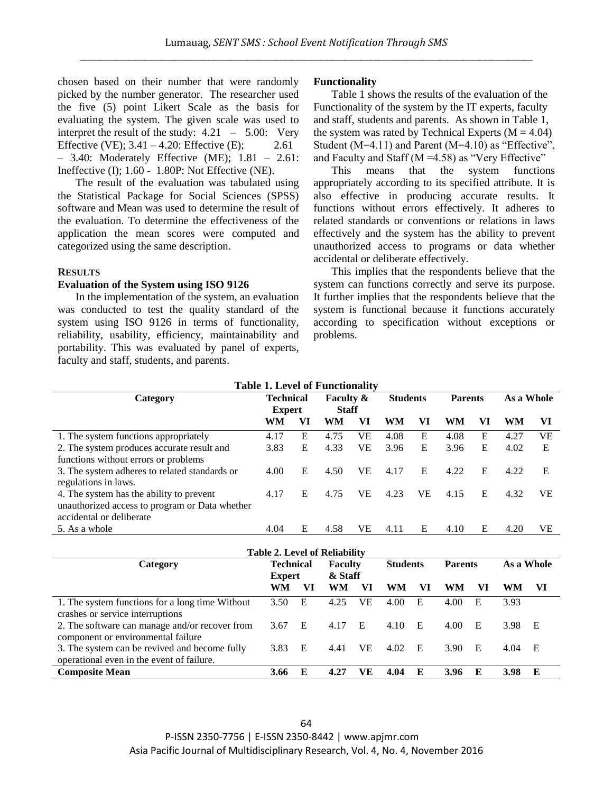chosen based on their number that were randomly picked by the number generator. The researcher used the five (5) point Likert Scale as the basis for evaluating the system. The given scale was used to interpret the result of the study:  $4.21 - 5.00$ : Very Effective (VE);  $3.41 - 4.20$ : Effective (E); 2.61 – 3.40: Moderately Effective (ME); 1.81 – 2.61: Ineffective (I); 1.60 - 1.80P: Not Effective (NE).

The result of the evaluation was tabulated using the Statistical Package for Social Sciences (SPSS) software and Mean was used to determine the result of the evaluation. To determine the effectiveness of the application the mean scores were computed and categorized using the same description.

#### **RESULTS**

#### **Evaluation of the System using ISO 9126**

In the implementation of the system, an evaluation was conducted to test the quality standard of the system using ISO 9126 in terms of functionality, reliability, usability, efficiency, maintainability and portability. This was evaluated by panel of experts, faculty and staff, students, and parents.

## **Functionality**

Table 1 shows the results of the evaluation of the Functionality of the system by the IT experts, faculty and staff, students and parents. As shown in Table 1, the system was rated by Technical Experts ( $M = 4.04$ ) Student  $(M=4.11)$  and Parent  $(M=4.10)$  as "Effective". and Faculty and Staff ( $M = 4.58$ ) as "Very Effective"

This means that the system functions appropriately according to its specified attribute. It is also effective in producing accurate results. It functions without errors effectively. It adheres to related standards or conventions or relations in laws effectively and the system has the ability to prevent unauthorized access to programs or data whether accidental or deliberate effectively.

This implies that the respondents believe that the system can functions correctly and serve its purpose. It further implies that the respondents believe that the system is functional because it functions accurately according to specification without exceptions or problems.

| <b>Table 1. Level of Functionality</b>         |                  |    |                      |           |                 |           |                |    |            |    |  |  |
|------------------------------------------------|------------------|----|----------------------|-----------|-----------------|-----------|----------------|----|------------|----|--|--|
| Category                                       | <b>Technical</b> |    | <b>Faculty &amp;</b> |           | <b>Students</b> |           | <b>Parents</b> |    | As a Whole |    |  |  |
|                                                | <b>Expert</b>    |    | <b>Staff</b>         |           |                 |           |                |    |            |    |  |  |
|                                                | WM               | VI | WM                   | VI        | <b>WM</b>       | VI        | WM             | VI | WM         | VI |  |  |
| 1. The system functions appropriately          | 4.17             | Е  | 4.75                 | VE        | 4.08            | E         | 4.08           | E  | 4.27       | VE |  |  |
| 2. The system produces accurate result and     | 3.83             | E  | 4.33                 | VE        | 3.96            | E         | 3.96           | E  | 4.02       | E  |  |  |
| functions without errors or problems           |                  |    |                      |           |                 |           |                |    |            |    |  |  |
| 3. The system adheres to related standards or  | 4.00             | E  | 4.50                 | <b>VE</b> | 4.17            | E         | 4.22           | E  | 4.22       | E  |  |  |
| regulations in laws.                           |                  |    |                      |           |                 |           |                |    |            |    |  |  |
| 4. The system has the ability to prevent       | 4.17             | Е  | 4.75                 | VE        | 4.23            | <b>VE</b> | 4.15           | E  | 4.32       | VE |  |  |
| unauthorized access to program or Data whether |                  |    |                      |           |                 |           |                |    |            |    |  |  |
| accidental or deliberate                       |                  |    |                      |           |                 |           |                |    |            |    |  |  |
| 5. As a whole                                  | 4.04             | E  | 4.58                 | VE        | 4.11            | E         | 4.10           | E  | 4.20       | VE |  |  |
|                                                |                  |    |                      |           |                 |           |                |    |            |    |  |  |

| <b>Table 2. Level of Reliability</b>                                                       |                  |    |                |    |                 |    |                |    |            |     |  |
|--------------------------------------------------------------------------------------------|------------------|----|----------------|----|-----------------|----|----------------|----|------------|-----|--|
| Category                                                                                   | <b>Technical</b> |    | <b>Faculty</b> |    | <b>Students</b> |    | <b>Parents</b> |    | As a Whole |     |  |
|                                                                                            | <b>Expert</b>    |    | & Staff        |    |                 |    |                |    |            |     |  |
|                                                                                            | <b>WM</b>        | VI | WM             | VI | WM              | VI | WM             | VI | WM         | VI  |  |
| 1. The system functions for a long time Without<br>crashes or service interruptions        | 3.50             | E  | 4.25           | VE | 4.00            | Ε  | 4.00           | E  | 3.93       |     |  |
| 2. The software can manage and/or recover from<br>component or environmental failure       | 3.67             | E  | 4.17           | E  | 4.10            | E  | 4.00           | E  | 3.98       | E   |  |
| 3. The system can be revived and become fully<br>operational even in the event of failure. | 3.83             | E  | 4.41           | VE | 4.02            | E  | 3.90           | E  | 4.04       | - E |  |
| <b>Composite Mean</b>                                                                      |                  | E  | 4.27           | VЕ | 4.04            | E  | 3.96           | E  | 3.98       | E   |  |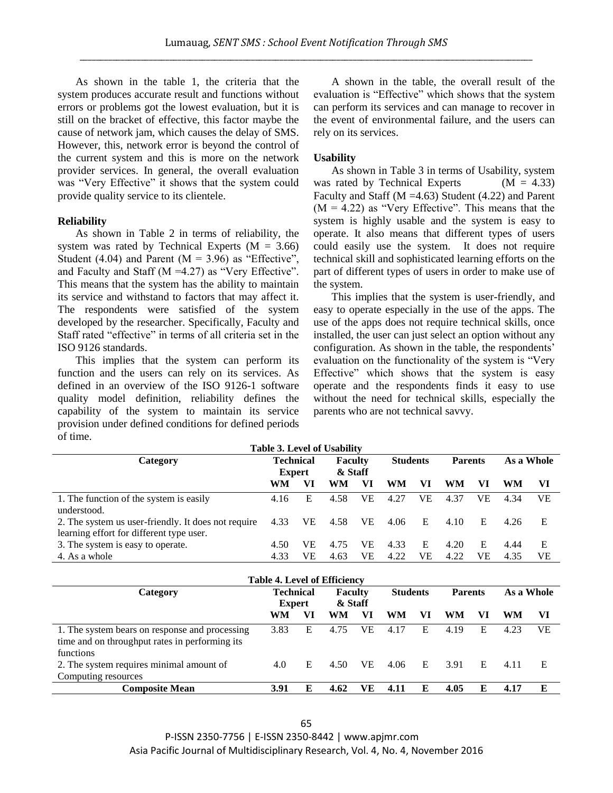As shown in the table 1, the criteria that the system produces accurate result and functions without errors or problems got the lowest evaluation, but it is still on the bracket of effective, this factor maybe the cause of network jam, which causes the delay of SMS. However, this, network error is beyond the control of the current system and this is more on the network provider services. In general, the overall evaluation was "Very Effective" it shows that the system could provide quality service to its clientele.

## **Reliability**

As shown in Table 2 in terms of reliability, the system was rated by Technical Experts ( $M = 3.66$ ) Student (4.04) and Parent ( $M = 3.96$ ) as "Effective", and Faculty and Staff (M =4.27) as "Very Effective". This means that the system has the ability to maintain its service and withstand to factors that may affect it. The respondents were satisfied of the system developed by the researcher. Specifically, Faculty and Staff rated "effective" in terms of all criteria set in the ISO 9126 standards.

This implies that the system can perform its function and the users can rely on its services. As defined in an overview of the ISO 9126-1 software quality model definition, reliability defines the capability of the system to maintain its service provision under defined conditions for defined periods of time.

A shown in the table, the overall result of the evaluation is "Effective" which shows that the system can perform its services and can manage to recover in the event of environmental failure, and the users can rely on its services.

# **Usability**

As shown in Table 3 in terms of Usability, system was rated by Technical Experts  $(M = 4.33)$ Faculty and Staff ( $M = 4.63$ ) Student (4.22) and Parent  $(M = 4.22)$  as "Very Effective". This means that the system is highly usable and the system is easy to operate. It also means that different types of users could easily use the system. It does not require technical skill and sophisticated learning efforts on the part of different types of users in order to make use of the system.

This implies that the system is user-friendly, and easy to operate especially in the use of the apps. The use of the apps does not require technical skills, once installed, the user can just select an option without any configuration. As shown in the table, the respondents' evaluation on the functionality of the system is "Very Effective" which shows that the system is easy operate and the respondents finds it easy to use without the need for technical skills, especially the parents who are not technical savvy.

| <b>Table 3. Level of Usability</b>                  |                            |     |                           |     |                 |    |                |    |            |    |  |
|-----------------------------------------------------|----------------------------|-----|---------------------------|-----|-----------------|----|----------------|----|------------|----|--|
| Category                                            | Technical<br><b>Expert</b> |     | <b>Faculty</b><br>& Staff |     | <b>Students</b> |    | <b>Parents</b> |    | As a Whole |    |  |
|                                                     | WM                         | VI  | WM                        | VI  | WM              | VI | WM             | VI | WM         | VI |  |
| 1. The function of the system is easily             | 4.16                       | E   | 4.58                      | VE  | 4.27            | VE | 4.37           | VЕ | 4.34       | VЕ |  |
| understood.                                         |                            |     |                           |     |                 |    |                |    |            |    |  |
| 2. The system us user-friendly. It does not require | 4.33                       | VE. | 4.58                      | VE. | 4.06            | E  | 4.10           | E  | 4.26       | E  |  |
| learning effort for different type user.            |                            |     |                           |     |                 |    |                |    |            |    |  |
| 3. The system is easy to operate.                   | 4.50                       | VE  | 4.75                      | VE  | 4.33            | Е  | 4.20           | E  | 4.44       | E  |  |
| 4. As a whole                                       | 4.33                       | VE  | 4.63                      | VE  | 4.22            | VE | 4.22           | VЕ | 4.35       | VЕ |  |

|                                                                                                               | <b>Table 4. Level of Efficiency</b> |    |                           |    |                 |    |                |    |            |    |
|---------------------------------------------------------------------------------------------------------------|-------------------------------------|----|---------------------------|----|-----------------|----|----------------|----|------------|----|
| Category                                                                                                      | <b>Technical</b><br><b>Expert</b>   |    | <b>Faculty</b><br>& Staff |    | <b>Students</b> |    | <b>Parents</b> |    | As a Whole |    |
|                                                                                                               | WM                                  | VI | WM                        | VI | WM              | VI | WM             | VI | WM         | VI |
| 1. The system bears on response and processing<br>time and on throughput rates in performing its<br>functions | 3.83                                | E  | 4.75                      | VE | 4.17            | E  | 4.19           | Е  | 4.23       | VЕ |
| 2. The system requires minimal amount of<br>Computing resources                                               | 4.0                                 | E  | 4.50                      | VE | 4.06            | E  | 3.91           | E  | 4.11       | E  |
| <b>Composite Mean</b>                                                                                         | 3.91                                | E  | 4.62                      | VE | 4.11            | E  | 4.05           | Е  | 4.17       | E  |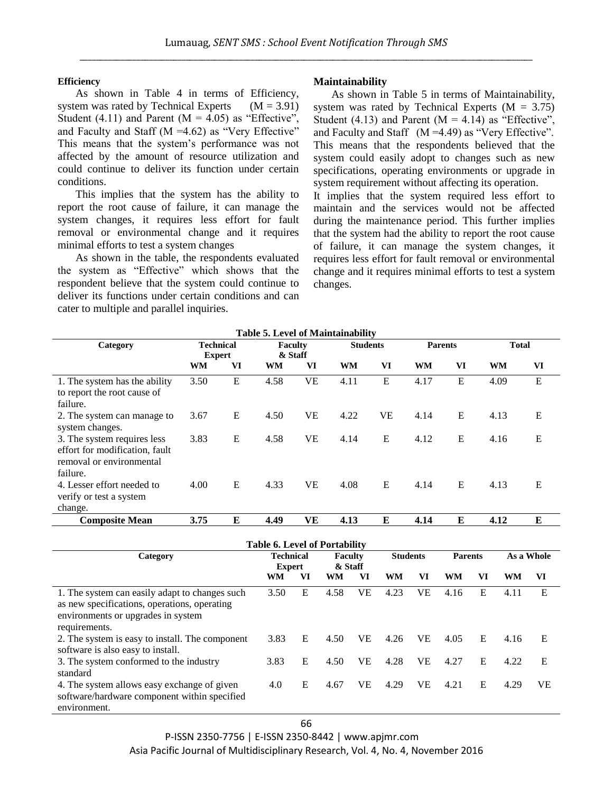### **Efficiency**

As shown in Table 4 in terms of Efficiency, system was rated by Technical Experts  $(M = 3.91)$ Student (4.11) and Parent ( $M = 4.05$ ) as "Effective", and Faculty and Staff ( $M = 4.62$ ) as "Very Effective" This means that the system's performance was not affected by the amount of resource utilization and could continue to deliver its function under certain conditions.

This implies that the system has the ability to report the root cause of failure, it can manage the system changes, it requires less effort for fault removal or environmental change and it requires minimal efforts to test a system changes

As shown in the table, the respondents evaluated the system as "Effective" which shows that the respondent believe that the system could continue to deliver its functions under certain conditions and can cater to multiple and parallel inquiries.

## **Maintainability**

As shown in Table 5 in terms of Maintainability, system was rated by Technical Experts  $(M = 3.75)$ Student (4.13) and Parent ( $M = 4.14$ ) as "Effective", and Faculty and Staff (M =4.49) as "Very Effective". This means that the respondents believed that the system could easily adopt to changes such as new specifications, operating environments or upgrade in system requirement without affecting its operation.

It implies that the system required less effort to maintain and the services would not be affected during the maintenance period. This further implies that the system had the ability to report the root cause of failure, it can manage the system changes, it requires less effort for fault removal or environmental change and it requires minimal efforts to test a system changes.

| <b>Table 5. Level of Maintainability</b>                                                                                                              |                                   |           |                                      |           |                           |                 |           |                 |                |                |              |             |
|-------------------------------------------------------------------------------------------------------------------------------------------------------|-----------------------------------|-----------|--------------------------------------|-----------|---------------------------|-----------------|-----------|-----------------|----------------|----------------|--------------|-------------|
| Category                                                                                                                                              | <b>Technical</b><br><b>Expert</b> |           | <b>Faculty</b><br>& Staff            |           |                           | <b>Students</b> |           |                 | <b>Parents</b> |                | <b>Total</b> |             |
|                                                                                                                                                       | WM                                | VI        | WM                                   | VI        | <b>WM</b>                 |                 | VI        | <b>WM</b>       | VI             |                | <b>WM</b>    | VI          |
| 1. The system has the ability<br>to report the root cause of<br>failure.                                                                              | 3.50                              | ${\bf E}$ | 4.58                                 | <b>VE</b> | 4.11                      |                 | ${\bf E}$ | 4.17            | E              |                | 4.09         | $\mathbf E$ |
| 2. The system can manage to<br>system changes.                                                                                                        | 3.67                              | E         | 4.50                                 | <b>VE</b> | 4.22                      |                 | <b>VE</b> | 4.14            | E              |                | 4.13         | E           |
| 3. The system requires less<br>effort for modification, fault<br>removal or environmental<br>failure.                                                 | 3.83                              | E         | 4.58                                 | <b>VE</b> | 4.14                      |                 | E         | 4.12            | E              |                | 4.16         | E           |
| 4. Lesser effort needed to<br>verify or test a system<br>change.                                                                                      | 4.00                              | E         | 4.33                                 | <b>VE</b> | 4.08                      |                 | E         | 4.14            | E              |                | 4.13         | E           |
| <b>Composite Mean</b>                                                                                                                                 | 3.75                              | E         | 4.49                                 | <b>VE</b> | 4.13                      |                 | E         | 4.14            | ${\bf E}$      |                | 4.12         | E           |
|                                                                                                                                                       |                                   |           | <b>Table 6. Level of Portability</b> |           |                           |                 |           |                 |                |                |              |             |
| Category                                                                                                                                              |                                   |           | <b>Technical</b><br><b>Expert</b>    |           | <b>Faculty</b><br>& Staff |                 |           | <b>Students</b> |                | <b>Parents</b> |              | As a Whole  |
|                                                                                                                                                       |                                   |           | <b>WM</b>                            | VI        | <b>WM</b>                 | VI              | <b>WM</b> | VI              | <b>WM</b>      | VI             | <b>WM</b>    | VI          |
| 1. The system can easily adapt to changes such<br>as new specifications, operations, operating<br>environments or upgrades in system<br>requirements. |                                   |           | 3.50                                 | E         | 4.58                      | <b>VE</b>       | 4.23      | <b>VE</b>       | 4.16           | E              | 4.11         | E           |
| 2. The system is easy to install. The component<br>software is also easy to install.                                                                  |                                   |           | 3.83                                 | E         | 4.50                      | <b>VE</b>       | 4.26      | <b>VE</b>       | 4.05           | E              | 4.16         | E           |
| 3. The system conformed to the industry<br>standard                                                                                                   |                                   |           | 3.83                                 | E         | 4.50                      | <b>VE</b>       | 4.28      | <b>VE</b>       | 4.27           | E              | 4.22         | E           |
| 4. The system allows easy exchange of given<br>software/hardware component within specified<br>environment.                                           |                                   |           |                                      | E         | 4.67                      | <b>VE</b>       | 4.29      | <b>VE</b>       | 4.21           | E              | 4.29         | <b>VE</b>   |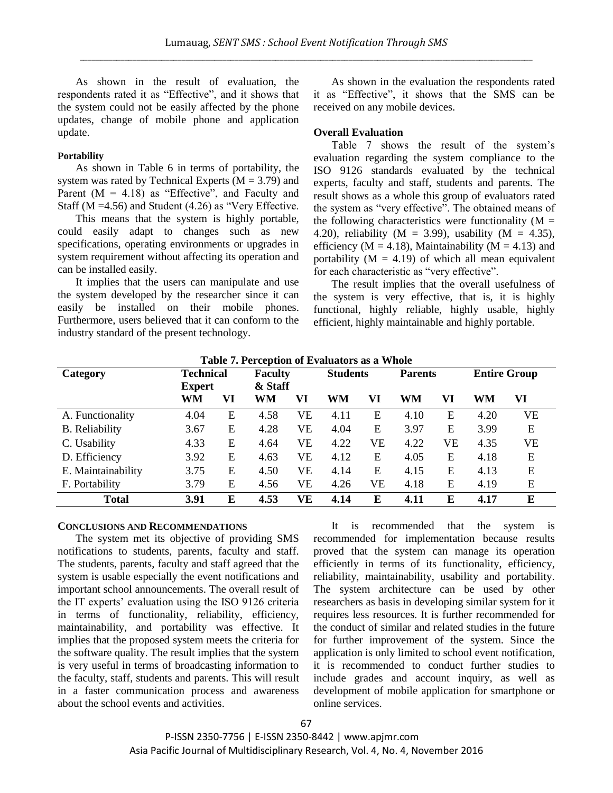As shown in the result of evaluation, the respondents rated it as "Effective", and it shows that the system could not be easily affected by the phone updates, change of mobile phone and application update.

## **Portability**

As shown in Table 6 in terms of portability, the system was rated by Technical Experts ( $M = 3.79$ ) and Parent  $(M = 4.18)$  as "Effective", and Faculty and Staff (M =4.56) and Student (4.26) as "Very Effective.

This means that the system is highly portable, could easily adapt to changes such as new specifications, operating environments or upgrades in system requirement without affecting its operation and can be installed easily.

It implies that the users can manipulate and use the system developed by the researcher since it can easily be installed on their mobile phones. Furthermore, users believed that it can conform to the industry standard of the present technology.

As shown in the evaluation the respondents rated it as "Effective", it shows that the SMS can be received on any mobile devices.

## **Overall Evaluation**

Table 7 shows the result of the system's evaluation regarding the system compliance to the ISO 9126 standards evaluated by the technical experts, faculty and staff, students and parents. The result shows as a whole this group of evaluators rated the system as "very effective". The obtained means of the following characteristics were functionality ( $M =$ 4.20), reliability (M = 3.99), usability (M = 4.35), efficiency ( $M = 4.18$ ), Maintainability ( $M = 4.13$ ) and portability ( $M = 4.19$ ) of which all mean equivalent for each characteristic as "very effective".

The result implies that the overall usefulness of the system is very effective, that is, it is highly functional, highly reliable, highly usable, highly efficient, highly maintainable and highly portable.

| Table 7. Perception of Evaluators as a Whole |                  |    |                |         |                 |    |                |    |                     |    |  |  |
|----------------------------------------------|------------------|----|----------------|---------|-----------------|----|----------------|----|---------------------|----|--|--|
| Category                                     | <b>Technical</b> |    | <b>Faculty</b> |         | <b>Students</b> |    | <b>Parents</b> |    | <b>Entire Group</b> |    |  |  |
|                                              | <b>Expert</b>    |    |                | & Staff |                 |    |                |    |                     |    |  |  |
|                                              | WM               | VI | WM             | VI      | WM              | VI | WM             | VI | WM                  | VI |  |  |
| A. Functionality                             | 4.04             | E  | 4.58           | VE      | 4.11            | E  | 4.10           | E  | 4.20                | VE |  |  |
| <b>B.</b> Reliability                        | 3.67             | E  | 4.28           | VE      | 4.04            | E  | 3.97           | Е  | 3.99                | E  |  |  |
| C. Usability                                 | 4.33             | E  | 4.64           | VE      | 4.22            | VE | 4.22           | VE | 4.35                | VE |  |  |
| D. Efficiency                                | 3.92             | E  | 4.63           | VE      | 4.12            | E  | 4.05           | E  | 4.18                | E  |  |  |
| E. Maintainability                           | 3.75             | E  | 4.50           | VE      | 4.14            | E  | 4.15           | E  | 4.13                | E  |  |  |
| F. Portability                               | 3.79             | E  | 4.56           | VE      | 4.26            | VE | 4.18           | E  | 4.19                | E  |  |  |
| <b>Total</b>                                 | 3.91             | E  | 4.53           | VE      | 4.14            | E  | 4.11           | E  | 4.17                | E  |  |  |

**Table 7. Perception of Evaluators as a Whole**

#### **CONCLUSIONS AND RECOMMENDATIONS**

The system met its objective of providing SMS notifications to students, parents, faculty and staff. The students, parents, faculty and staff agreed that the system is usable especially the event notifications and important school announcements. The overall result of the IT experts' evaluation using the ISO 9126 criteria in terms of functionality, reliability, efficiency, maintainability, and portability was effective. It implies that the proposed system meets the criteria for the software quality. The result implies that the system is very useful in terms of broadcasting information to the faculty, staff, students and parents. This will result in a faster communication process and awareness about the school events and activities.

It is recommended that the system is recommended for implementation because results proved that the system can manage its operation efficiently in terms of its functionality, efficiency, reliability, maintainability, usability and portability. The system architecture can be used by other researchers as basis in developing similar system for it requires less resources. It is further recommended for the conduct of similar and related studies in the future for further improvement of the system. Since the application is only limited to school event notification, it is recommended to conduct further studies to include grades and account inquiry, as well as development of mobile application for smartphone or online services.

P-ISSN 2350-7756 | E-ISSN 2350-8442 | www.apjmr.com Asia Pacific Journal of Multidisciplinary Research, Vol. 4, No. 4, November 2016